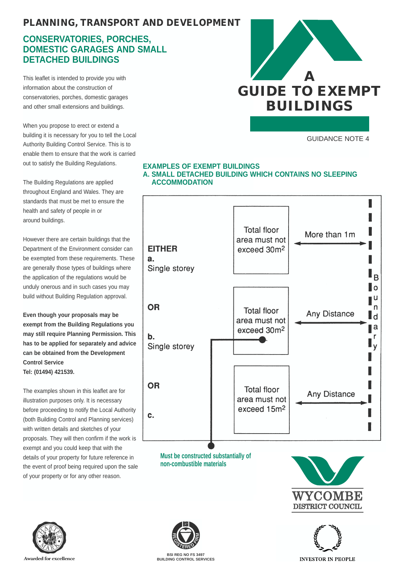# *PLANNING, TRANSPORT AND DEVELOPMENT*

## **CONSERVATORIES, PORCHES, DOMESTIC GARAGES AND SMALL DETACHED BUILDINGS**

This leaflet is intended to provide you with information about the construction of conservatories, porches, domestic garages and other small extensions and buildings.

When you propose to erect or extend a building it is necessary for you to tell the Local Authority Building Control Service. This is to enable them to ensure that the work is carried out to satisfy the Building Regulations.

The Building Regulations are applied throughout England and Wales. They are standards that must be met to ensure the health and safety of people in or around buildings.

However there are certain buildings that the Department of the Environment consider can be exempted from these requirements. These are generally those types of buildings where the application of the regulations would be unduly onerous and in such cases you may build without Building Regulation approval.

**Even though your proposals may be exempt from the Building Regulations you may still require Planning Permission. This has to be applied for separately and advice can be obtained from the Development Control Service Tel: (01494) 421539.**

The examples shown in this leaflet are for illustration purposes only. It is necessary before proceeding to notify the Local Authority (both Building Control and Planning services) with written details and sketches of your proposals. They will then confirm if the work is exempt and you could keep that with the details of your property for future reference in the event of proof being required upon the sale of your property or for any other reason.



GUIDANCE NOTE 4

#### **EXAMPLES OF EXEMPT BUILDINGS A. SMALL DETACHED BUILDING WHICH CONTAINS NO SLEEPING ACCOMMODATION**



**non-combustible materials**









**BUILDING CONTROL SERVICES**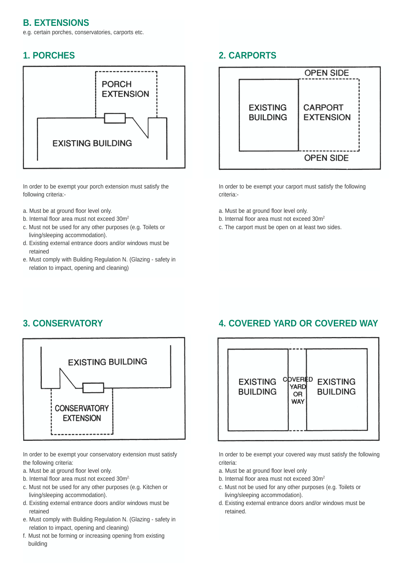## **B. EXTENSIONS**

e.g. certain porches, conservatories, carports etc.

## **1. PORCHES**



In order to be exempt your porch extension must satisfy the following criteria:-

- a. Must be at ground floor level only.
- b. Internal floor area must not exceed 30m<sup>2</sup>
- c. Must not be used for any other purposes (e.g. Toilets or living/sleeping accommodation).
- d. Existing external entrance doors and/or windows must be retained
- e. Must comply with Building Regulation N. (Glazing safety in relation to impact, opening and cleaning)

## **2. CARPORTS**



In order to be exempt your carport must satisfy the following criteria:-

- a. Must be at ground floor level only.
- b. Internal floor area must not exceed 30m<sup>2</sup>
- c. The carport must be open on at least two sides.

# **3. CONSERVATORY**



In order to be exempt your conservatory extension must satisfy the following criteria:

- a. Must be at ground floor level only.
- b. Internal floor area must not exceed 30m<sup>2.</sup>
- c. Must not be used for any other purposes (e.g. Kitchen or living/sleeping accommodation).
- d. Existing external entrance doors and/or windows must be retained
- e. Must comply with Building Regulation N. (Glazing safety in relation to impact, opening and cleaning)
- f. Must not be forming or increasing opening from existing building

# **4. COVERED YARD OR COVERED WAY**



In order to be exempt your covered way must satisfy the following criteria:

- a. Must be at ground floor level only
- b. Internal floor area must not exceed 30m<sup>2</sup>
- c. Must not be used for any other purposes (e.g. Toilets or living/sleeping accommodation).
- d. Existing external entrance doors and/or windows must be retained.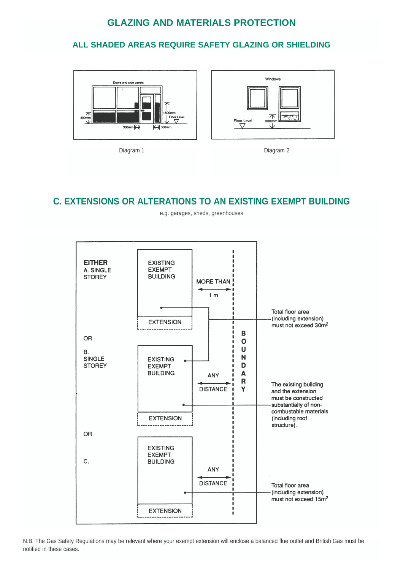## **GLAZING AND MATERIALS PROTECTION**

### **ALL SHADED AREAS REQUIRE SAFETY GLAZING OR SHIELDING**







## **C. EXTENSIONS OR ALTERATIONS TO AN EXISTING EXEMPT BUILDING**



e.g. garages, sheds, greenhouses